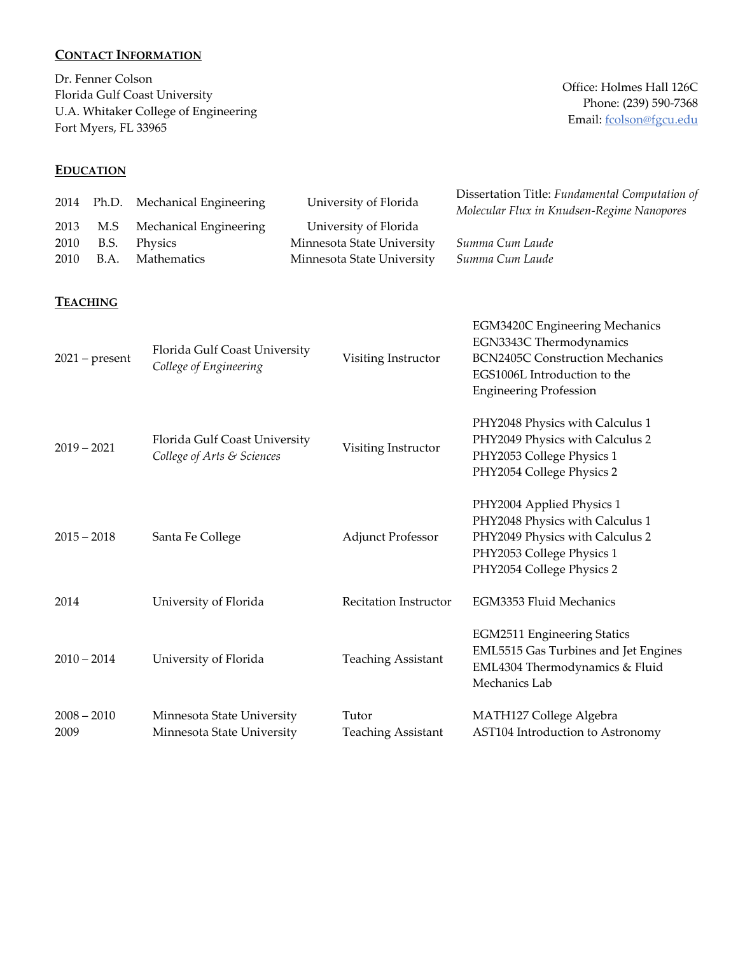# **CONTACT INFORMATION**

Dr. Fenner Colson Florida Gulf Coast University U.A. Whitaker College of Engineering Fort Myers, FL 33965

#### **EDUCATION**

Office: Holmes Hall 126C Phone: (239) 590-7368 Email: fcolson@fgcu.edu

| 2014                  | Ph.D.               | Mechanical Engineering                                      | University of Florida                                                             | Dissertation Title: Fundamental Computation of<br>Molecular Flux in Knudsen-Regime Nanopores                                                                                |
|-----------------------|---------------------|-------------------------------------------------------------|-----------------------------------------------------------------------------------|-----------------------------------------------------------------------------------------------------------------------------------------------------------------------------|
| 2013<br>2010<br>2010  | M.S<br>B.S.<br>B.A. | Mechanical Engineering<br>Physics<br>Mathematics            | University of Florida<br>Minnesota State University<br>Minnesota State University | Summa Cum Laude<br>Summa Cum Laude                                                                                                                                          |
|                       | <b>TEACHING</b>     |                                                             |                                                                                   |                                                                                                                                                                             |
|                       | $2021$ – present    | Florida Gulf Coast University<br>College of Engineering     | Visiting Instructor                                                               | <b>EGM3420C Engineering Mechanics</b><br>EGN3343C Thermodynamics<br><b>BCN2405C Construction Mechanics</b><br>EGS1006L Introduction to the<br><b>Engineering Profession</b> |
| $2019 - 2021$         |                     | Florida Gulf Coast University<br>College of Arts & Sciences | Visiting Instructor                                                               | PHY2048 Physics with Calculus 1<br>PHY2049 Physics with Calculus 2<br>PHY2053 College Physics 1<br>PHY2054 College Physics 2                                                |
| $2015 - 2018$         |                     | Santa Fe College                                            | <b>Adjunct Professor</b>                                                          | PHY2004 Applied Physics 1<br>PHY2048 Physics with Calculus 1<br>PHY2049 Physics with Calculus 2<br>PHY2053 College Physics 1<br>PHY2054 College Physics 2                   |
| 2014                  |                     | University of Florida                                       | Recitation Instructor                                                             | EGM3353 Fluid Mechanics                                                                                                                                                     |
| $2010 - 2014$         |                     | University of Florida                                       | <b>Teaching Assistant</b>                                                         | <b>EGM2511 Engineering Statics</b><br>EML5515 Gas Turbines and Jet Engines<br>EML4304 Thermodynamics & Fluid<br>Mechanics Lab                                               |
| $2008 - 2010$<br>2009 |                     | Minnesota State University<br>Minnesota State University    | Tutor<br><b>Teaching Assistant</b>                                                | MATH127 College Algebra<br>AST104 Introduction to Astronomy                                                                                                                 |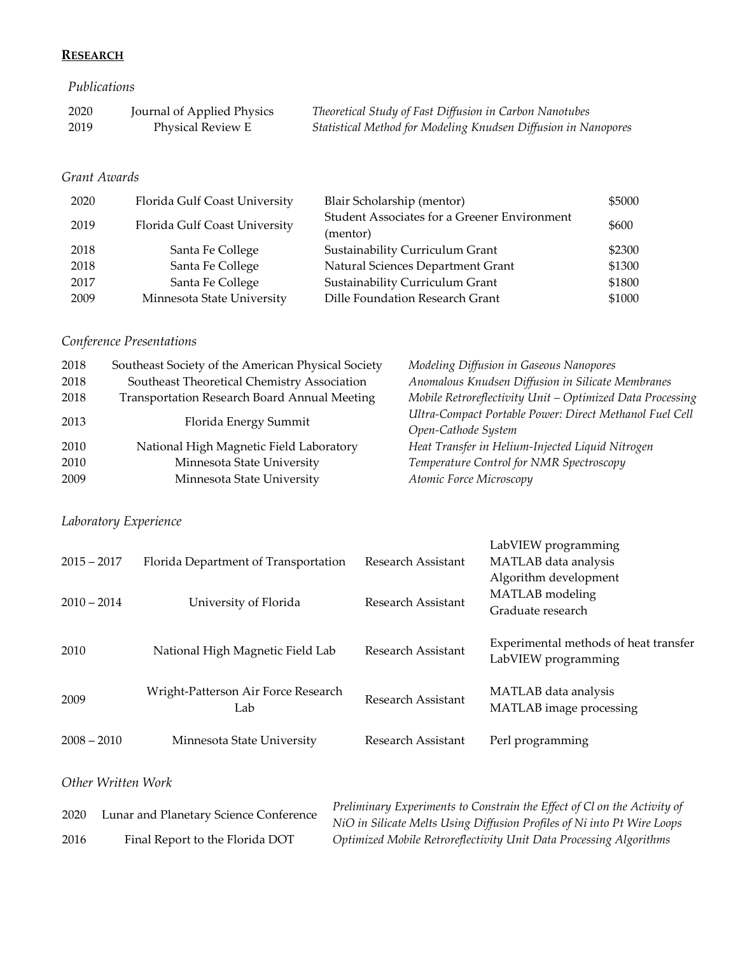## **RESEARCH**

#### *Publications*

| 2020 | Journal of Applied Physics | Theoretical Study of Fast Diffusion in Carbon Nanotubes        |
|------|----------------------------|----------------------------------------------------------------|
| 2019 | <b>Physical Review E</b>   | Statistical Method for Modeling Knudsen Diffusion in Nanopores |

### *Grant Awards*

| 2020 | Florida Gulf Coast University | Blair Scholarship (mentor)                               | \$5000 |
|------|-------------------------------|----------------------------------------------------------|--------|
| 2019 | Florida Gulf Coast University | Student Associates for a Greener Environment<br>(mentor) | \$600  |
| 2018 | Santa Fe College              | Sustainability Curriculum Grant                          | \$2300 |
| 2018 | Santa Fe College              | Natural Sciences Department Grant                        | \$1300 |
| 2017 | Santa Fe College              | Sustainability Curriculum Grant                          | \$1800 |
| 2009 | Minnesota State University    | Dille Foundation Research Grant                          | \$1000 |

# *Conference Presentations*

| 2018 | Southeast Society of the American Physical Society | Modeling Diffusion in Gaseous Nanopores                   |
|------|----------------------------------------------------|-----------------------------------------------------------|
| 2018 | Southeast Theoretical Chemistry Association        | Anomalous Knudsen Diffusion in Silicate Membranes         |
| 2018 | Transportation Research Board Annual Meeting       | Mobile Retroreflectivity Unit - Optimized Data Processing |
| 2013 |                                                    | Ultra-Compact Portable Power: Direct Methanol Fuel Cell   |
|      | Florida Energy Summit                              | Open-Cathode System                                       |
| 2010 | National High Magnetic Field Laboratory            | Heat Transfer in Helium-Injected Liquid Nitrogen          |
| 2010 | Minnesota State University                         | Temperature Control for NMR Spectroscopy                  |
| 2009 | Minnesota State University                         | Atomic Force Microscopy                                   |

## *Laboratory Experience*

| $2015 - 2017$<br>$2010 - 2014$ | Florida Department of Transportation<br>University of Florida | Research Assistant<br>Research Assistant | LabVIEW programming<br>MATLAB data analysis<br>Algorithm development<br>MATLAB modeling<br>Graduate research |
|--------------------------------|---------------------------------------------------------------|------------------------------------------|--------------------------------------------------------------------------------------------------------------|
| 2010                           | National High Magnetic Field Lab                              | Research Assistant                       | Experimental methods of heat transfer<br>LabVIEW programming                                                 |
| 2009                           | Wright-Patterson Air Force Research<br>Lab                    | Research Assistant                       | MATLAB data analysis<br>MATLAB image processing                                                              |
| $2008 - 2010$                  | Minnesota State University                                    | Research Assistant                       | Perl programming                                                                                             |

## *Other Written Work*

| 2020 | Lunar and Planetary Science Conference | Preliminary Experiments to Constrain the Effect of Cl on the Activity of |
|------|----------------------------------------|--------------------------------------------------------------------------|
|      |                                        | NiO in Silicate Melts Using Diffusion Profiles of Ni into Pt Wire Loops  |
| 2016 | Final Report to the Florida DOT        | Optimized Mobile Retroreflectivity Unit Data Processing Algorithms       |